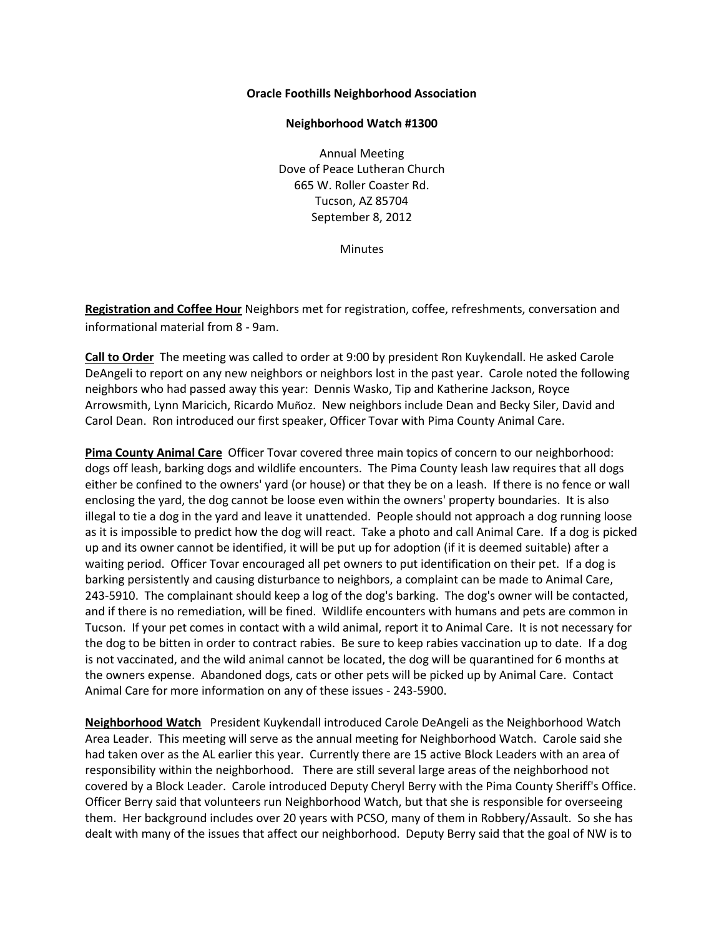## **Oracle Foothills Neighborhood Association**

## **Neighborhood Watch #1300**

Annual Meeting Dove of Peace Lutheran Church 665 W. Roller Coaster Rd. Tucson, AZ 85704 September 8, 2012

**Minutes** 

**Registration and Coffee Hour** Neighbors met for registration, coffee, refreshments, conversation and informational material from 8 - 9am.

**Call to Order** The meeting was called to order at 9:00 by president Ron Kuykendall. He asked Carole DeAngeli to report on any new neighbors or neighbors lost in the past year. Carole noted the following neighbors who had passed away this year: Dennis Wasko, Tip and Katherine Jackson, Royce Arrowsmith, Lynn Maricich, Ricardo Muñoz. New neighbors include Dean and Becky Siler, David and Carol Dean. Ron introduced our first speaker, Officer Tovar with Pima County Animal Care.

**Pima County Animal Care** Officer Tovar covered three main topics of concern to our neighborhood: dogs off leash, barking dogs and wildlife encounters. The Pima County leash law requires that all dogs either be confined to the owners' yard (or house) or that they be on a leash. If there is no fence or wall enclosing the yard, the dog cannot be loose even within the owners' property boundaries. It is also illegal to tie a dog in the yard and leave it unattended. People should not approach a dog running loose as it is impossible to predict how the dog will react. Take a photo and call Animal Care. If a dog is picked up and its owner cannot be identified, it will be put up for adoption (if it is deemed suitable) after a waiting period. Officer Tovar encouraged all pet owners to put identification on their pet. If a dog is barking persistently and causing disturbance to neighbors, a complaint can be made to Animal Care, 243-5910. The complainant should keep a log of the dog's barking. The dog's owner will be contacted, and if there is no remediation, will be fined. Wildlife encounters with humans and pets are common in Tucson. If your pet comes in contact with a wild animal, report it to Animal Care. It is not necessary for the dog to be bitten in order to contract rabies. Be sure to keep rabies vaccination up to date. If a dog is not vaccinated, and the wild animal cannot be located, the dog will be quarantined for 6 months at the owners expense. Abandoned dogs, cats or other pets will be picked up by Animal Care. Contact Animal Care for more information on any of these issues - 243-5900.

**Neighborhood Watch** President Kuykendall introduced Carole DeAngeli as the Neighborhood Watch Area Leader. This meeting will serve as the annual meeting for Neighborhood Watch. Carole said she had taken over as the AL earlier this year. Currently there are 15 active Block Leaders with an area of responsibility within the neighborhood. There are still several large areas of the neighborhood not covered by a Block Leader. Carole introduced Deputy Cheryl Berry with the Pima County Sheriff's Office. Officer Berry said that volunteers run Neighborhood Watch, but that she is responsible for overseeing them. Her background includes over 20 years with PCSO, many of them in Robbery/Assault. So she has dealt with many of the issues that affect our neighborhood. Deputy Berry said that the goal of NW is to